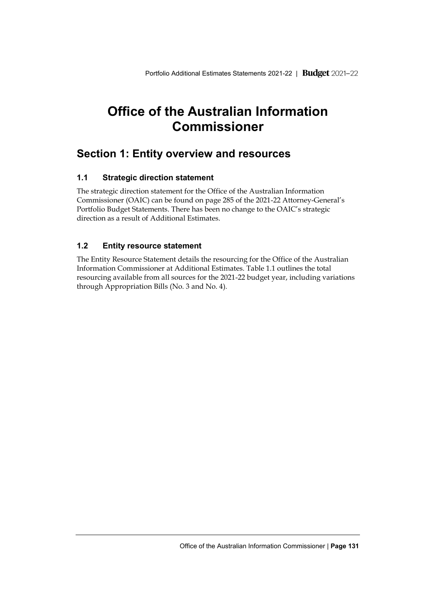# **Office of the Australian Information Commissioner**

## **Section 1: Entity overview and resources**

## **1.1 Strategic direction statement**

The strategic direction statement for the Office of the Australian Information Commissioner (OAIC) can be found on page 285 of the 2021-22 Attorney-General's Portfolio Budget Statements. There has been no change to the OAIC's strategic direction as a result of Additional Estimates.

## **1.2 Entity resource statement**

The Entity Resource Statement details the resourcing for the Office of the Australian Information Commissioner at Additional Estimates. Table 1.1 outlines the total resourcing available from all sources for the 2021-22 budget year, including variations through Appropriation Bills (No. 3 and No. 4)*.*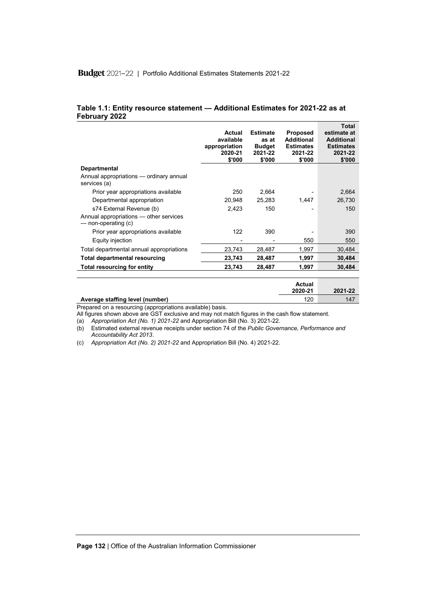## Budget 2021-22 | Portfolio Additional Estimates Statements 2021-22

#### **Table 1.1: Entity resource statement — Additional Estimates for 2021-22 as at February 2022**

|                                                               | Actual<br>available<br>appropriation<br>2020-21<br>\$'000 | <b>Estimate</b><br>as at<br><b>Budget</b><br>2021-22<br>\$'000 | <b>Proposed</b><br><b>Additional</b><br><b>Estimates</b><br>2021-22<br>\$'000 | Total<br>estimate at<br><b>Additional</b><br><b>Estimates</b><br>2021-22<br>\$'000 |
|---------------------------------------------------------------|-----------------------------------------------------------|----------------------------------------------------------------|-------------------------------------------------------------------------------|------------------------------------------------------------------------------------|
| <b>Departmental</b>                                           |                                                           |                                                                |                                                                               |                                                                                    |
| Annual appropriations - ordinary annual<br>services (a)       |                                                           |                                                                |                                                                               |                                                                                    |
| Prior year appropriations available                           | 250                                                       | 2,664                                                          |                                                                               | 2,664                                                                              |
| Departmental appropriation                                    | 20,948                                                    | 25,283                                                         | 1,447                                                                         | 26,730                                                                             |
| s74 External Revenue (b)                                      | 2,423                                                     | 150                                                            |                                                                               | 150                                                                                |
| Annual appropriations — other services<br>— non-operating (c) |                                                           |                                                                |                                                                               |                                                                                    |
| Prior year appropriations available                           | 122                                                       | 390                                                            |                                                                               | 390                                                                                |
| Equity injection                                              |                                                           |                                                                | 550                                                                           | 550                                                                                |
| Total departmental annual appropriations                      | 23,743                                                    | 28,487                                                         | 1,997                                                                         | 30,484                                                                             |
| Total departmental resourcing                                 | 23,743                                                    | 28,487                                                         | 1,997                                                                         | 30,484                                                                             |
| <b>Total resourcing for entity</b>                            | 23,743                                                    | 28,487                                                         | 1,997                                                                         | 30,484                                                                             |
|                                                               |                                                           |                                                                | $A - 1 - - 1$                                                                 |                                                                                    |

|                                 | Actual<br>2020-21 | 2021-22 |
|---------------------------------|-------------------|---------|
| Average staffing level (number) | 120               | 147     |

Prepared on a resourcing (appropriations available) basis.

All figures shown above are GST exclusive and may not match figures in the cash flow statement.

(a) *Appropriation Act (No. 1) 2021-22* and Appropriation Bill (No. 3) 2021-22.

(b) Estimated external revenue receipts under section 74 of the *Public Governance, Performance and Accountability Act 2013*.

(c) *Appropriation Act (No. 2) 2021-22* and Appropriation Bill (No. 4) 2021-22.

**Page 132** | Office of the Australian Information Commissioner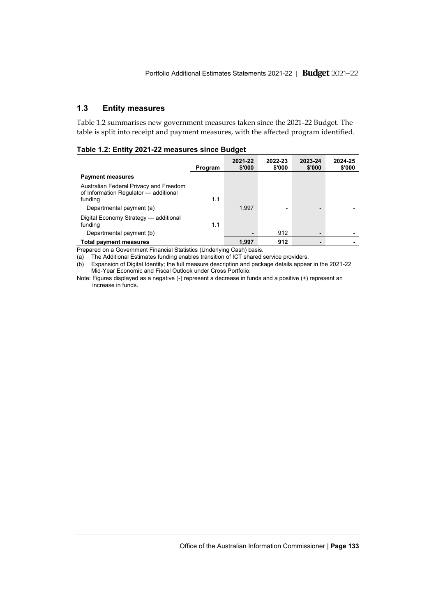## **1.3 Entity measures**

Table 1.2 summarises new government measures taken since the 2021-22 Budget. The table is split into receipt and payment measures, with the affected program identified.

|  |  |  |  | Table 1.2: Entity 2021-22 measures since Budget |  |  |
|--|--|--|--|-------------------------------------------------|--|--|
|--|--|--|--|-------------------------------------------------|--|--|

|                                                                                                                        | Program | 2021-22<br>\$'000 | 2022-23<br>\$'000 | 2023-24<br>\$'000        | 2024-25<br>\$'000 |
|------------------------------------------------------------------------------------------------------------------------|---------|-------------------|-------------------|--------------------------|-------------------|
| <b>Payment measures</b>                                                                                                |         |                   |                   |                          |                   |
| Australian Federal Privacy and Freedom<br>of Information Regulator - additional<br>funding<br>Departmental payment (a) | 1.1     | 1.997             |                   | $\overline{\phantom{0}}$ |                   |
| Digital Economy Strategy - additional<br>funding<br>Departmental payment (b)                                           | 1.1     | ٠                 | 912               | $\overline{\phantom{a}}$ |                   |
| <b>Total payment measures</b>                                                                                          |         | 1.997             | 912               |                          |                   |

Prepared on a Government Financial Statistics (Underlying Cash) basis.

(a) The Additional Estimates funding enables transition of ICT shared service providers.

(b) Expansion of Digital Identity; the full measure description and package details appear in the 2021-22 Mid-Year Economic and Fiscal Outlook under Cross Portfolio.

Note: Figures displayed as a negative (-) represent a decrease in funds and a positive (+) represent an increase in funds.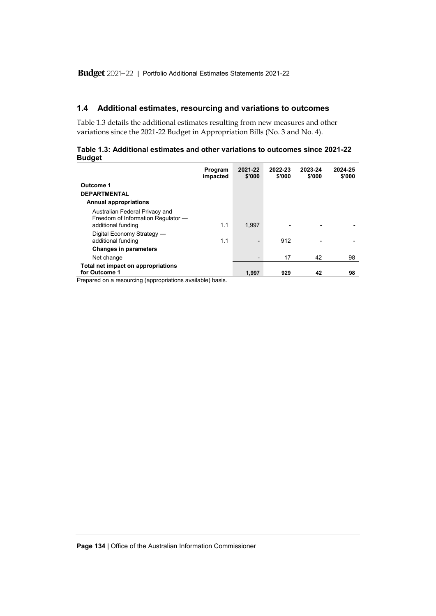## **1.4 Additional estimates, resourcing and variations to outcomes**

Table 1.3 details the additional estimates resulting from new measures and other variations since the 2021-22 Budget in Appropriation Bills (No. 3 and No. 4).

| Table 1.3: Additional estimates and other variations to outcomes since 2021-22 |  |  |  |
|--------------------------------------------------------------------------------|--|--|--|
| <b>Budget</b>                                                                  |  |  |  |

|                                                                                            | Program<br>impacted | 2021-22<br>\$'000        | 2022-23<br>\$'000 | 2023-24<br>\$'000 | 2024-25<br>\$'000 |
|--------------------------------------------------------------------------------------------|---------------------|--------------------------|-------------------|-------------------|-------------------|
| Outcome 1<br><b>DEPARTMENTAL</b><br><b>Annual appropriations</b>                           |                     |                          |                   |                   |                   |
| Australian Federal Privacy and<br>Freedom of Information Regulator -<br>additional funding | 1.1                 | 1.997                    |                   |                   |                   |
| Digital Economy Strategy -<br>additional funding                                           | 1.1                 | $\overline{\phantom{0}}$ | 912               | ۰                 |                   |
| <b>Changes in parameters</b>                                                               |                     |                          |                   |                   |                   |
| Net change                                                                                 |                     | $\overline{\phantom{0}}$ | 17                | 42                | 98                |
| Total net impact on appropriations<br>for Outcome 1                                        |                     | 1.997                    | 929               | 42                | 98                |

Prepared on a resourcing (appropriations available) basis.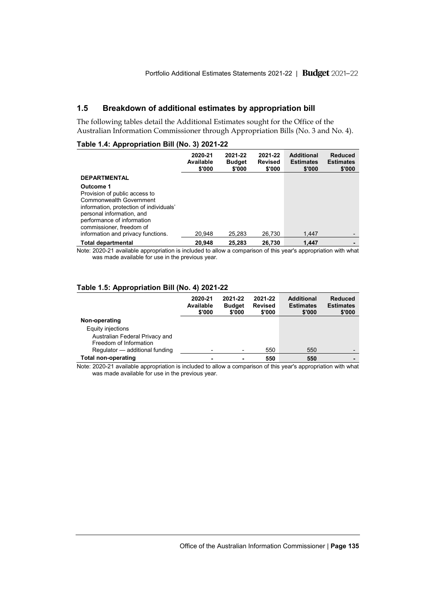## **1.5 Breakdown of additional estimates by appropriation bill**

The following tables detail the Additional Estimates sought for the Office of the Australian Information Commissioner through Appropriation Bills (No. 3 and No. 4).

#### **Table 1.4: Appropriation Bill (No. 3) 2021-22**

|                                                                                                                                                                                                                                               | 2020-21<br>Available<br>\$'000 | 2021-22<br><b>Budget</b><br>\$'000 | 2021-22<br><b>Revised</b><br>\$'000 | <b>Additional</b><br><b>Estimates</b><br>\$'000 | Reduced<br><b>Estimates</b><br>\$'000 |
|-----------------------------------------------------------------------------------------------------------------------------------------------------------------------------------------------------------------------------------------------|--------------------------------|------------------------------------|-------------------------------------|-------------------------------------------------|---------------------------------------|
| <b>DEPARTMENTAL</b>                                                                                                                                                                                                                           |                                |                                    |                                     |                                                 |                                       |
| Outcome 1<br>Provision of public access to<br>Commonwealth Government<br>information, protection of individuals'<br>personal information, and<br>performance of information<br>commissioner, freedom of<br>information and privacy functions. | 20.948                         | 25.283                             | 26.730                              | 1.447                                           |                                       |
| <b>Total departmental</b>                                                                                                                                                                                                                     | 20.948                         | 25.283                             | 26.730                              | 1.447                                           |                                       |

Note: 2020-21 available appropriation is included to allow a comparison of this year's appropriation with what was made available for use in the previous year.

#### **Table 1.5: Appropriation Bill (No. 4) 2021-22**

|                                | 2020-21<br>Available<br>\$'000 | 2021-22<br><b>Budget</b><br>\$'000 | 2021-22<br><b>Revised</b><br>\$'000 | <b>Additional</b><br><b>Estimates</b><br>\$'000 | <b>Reduced</b><br><b>Estimates</b><br>\$'000 |
|--------------------------------|--------------------------------|------------------------------------|-------------------------------------|-------------------------------------------------|----------------------------------------------|
| Non-operating                  |                                |                                    |                                     |                                                 |                                              |
| Equity injections              |                                |                                    |                                     |                                                 |                                              |
| Australian Federal Privacy and |                                |                                    |                                     |                                                 |                                              |
| Freedom of Information         |                                |                                    |                                     |                                                 |                                              |
| Regulator - additional funding |                                | ٠                                  | 550                                 | 550                                             | $\overline{\phantom{0}}$                     |
| Total non-operating            |                                | ۰                                  | 550                                 | 550                                             |                                              |

Note: 2020-21 available appropriation is included to allow a comparison of this year's appropriation with what was made available for use in the previous year.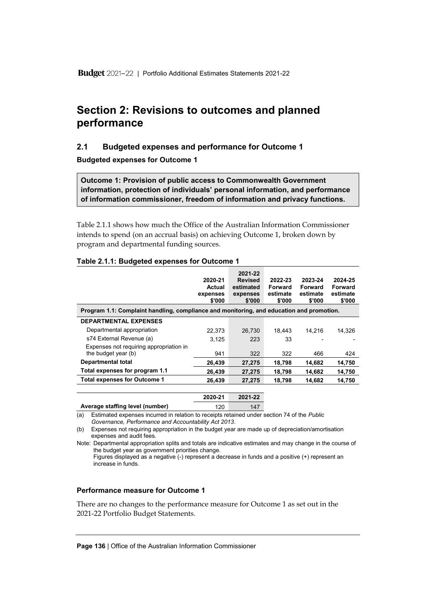## **Section 2: Revisions to outcomes and planned performance**

## **2.1 Budgeted expenses and performance for Outcome 1**

**Budgeted expenses for Outcome 1**

**Outcome 1: Provision of public access to Commonwealth Government information, protection of individuals' personal information, and performance of information commissioner, freedom of information and privacy functions.**

Table 2.1.1 shows how much the Office of the Australian Information Commissioner intends to spend (on an accrual basis) on achieving Outcome 1, broken down by program and departmental funding sources.

|                                                                                          | 2020-21<br>Actual<br>expenses<br>\$'000 | 2021-22<br><b>Revised</b><br>estimated<br>expenses<br>\$'000 | 2022-23<br><b>Forward</b><br>estimate<br>\$'000 | 2023-24<br>Forward<br>estimate<br>\$'000 | 2024-25<br><b>Forward</b><br>estimate<br>\$'000 |
|------------------------------------------------------------------------------------------|-----------------------------------------|--------------------------------------------------------------|-------------------------------------------------|------------------------------------------|-------------------------------------------------|
| Program 1.1: Complaint handling, compliance and monitoring, and education and promotion. |                                         |                                                              |                                                 |                                          |                                                 |
| <b>DEPARTMENTAL EXPENSES</b>                                                             |                                         |                                                              |                                                 |                                          |                                                 |
| Departmental appropriation                                                               | 22.373                                  | 26.730                                                       | 18.443                                          | 14.216                                   | 14.326                                          |
| s74 External Revenue (a)                                                                 | 3.125                                   | 223                                                          | 33                                              |                                          |                                                 |
| Expenses not requiring appropriation in<br>the budget year (b)                           | 941                                     | 322                                                          | 322                                             | 466                                      | 424                                             |
| <b>Departmental total</b>                                                                | 26,439                                  | 27,275                                                       | 18,798                                          | 14,682                                   | 14,750                                          |
| Total expenses for program 1.1                                                           | 26,439                                  | 27,275                                                       | 18,798                                          | 14,682                                   | 14,750                                          |
| <b>Total expenses for Outcome 1</b>                                                      | 26,439                                  | 27,275                                                       | 18,798                                          | 14,682                                   | 14,750                                          |
|                                                                                          | 2020-21                                 | $2021 - 22$                                                  |                                                 |                                          |                                                 |

#### **Table 2.1.1: Budgeted expenses for Outcome 1**

|    |                                                                                          | LULU LI | LUL I LL |  |
|----|------------------------------------------------------------------------------------------|---------|----------|--|
|    | Average staffing level (number)                                                          | 120     | 147      |  |
| ı) | Estimated expenses incurred in relation to receipts retained under section 74 of the Pub |         |          |  |

(a) Estimated expenses incurred in relation to receipts retained under section 74 of the *Public Governance, Performance and Accountability Act 2013*.

(b) Expenses not requiring appropriation in the budget year are made up of depreciation/amortisation expenses and audit fees.

Note: Departmental appropriation splits and totals are indicative estimates and may change in the course of the budget year as government priorities change. Figures displayed as a negative (-) represent a decrease in funds and a positive (+) represent an increase in funds.

#### **Performance measure for Outcome 1**

There are no changes to the performance measure for Outcome 1 as set out in the 2021-22 Portfolio Budget Statements.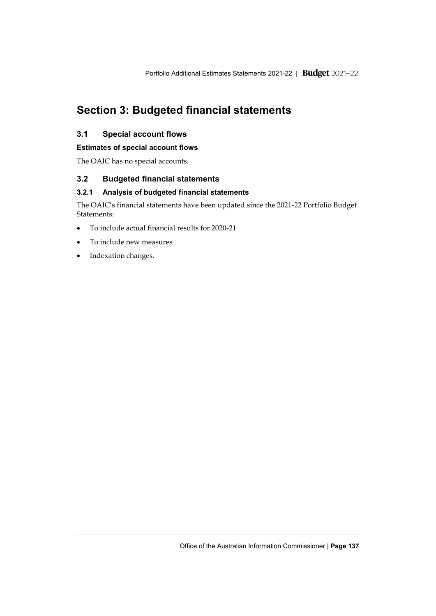# **Section 3: Budgeted financial statements**

## **3.1 Special account flows**

## **Estimates of special account flows**

The OAIC has no special accounts.

## **3.2 Budgeted financial statements**

## **3.2.1 Analysis of budgeted financial statements**

The OAIC's financial statements have been updated since the 2021-22 Portfolio Budget Statements:

- To include actual financial results for 2020-21
- To include new measures
- Indexation changes.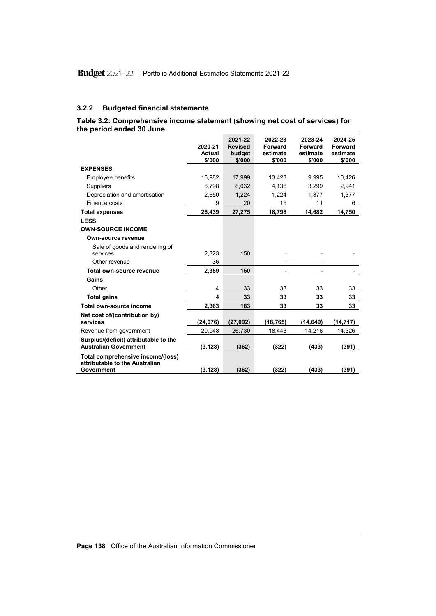### **3.2.2 Budgeted financial statements**

## **Table 3.2: Comprehensive income statement (showing net cost of services) for the period ended 30 June**

|                                                                                   | 2020-21<br>Actual | 2021-22<br><b>Revised</b><br>budget | 2022-23<br>Forward<br>estimate | 2023-24<br>Forward<br>estimate | 2024-25<br>Forward<br>estimate |
|-----------------------------------------------------------------------------------|-------------------|-------------------------------------|--------------------------------|--------------------------------|--------------------------------|
|                                                                                   | \$'000            | \$'000                              | \$'000                         | \$'000                         | \$'000                         |
| <b>EXPENSES</b>                                                                   |                   |                                     |                                |                                |                                |
| <b>Employee benefits</b>                                                          | 16,982            | 17,999                              | 13,423                         | 9.995                          | 10,426                         |
| Suppliers                                                                         | 6.798             | 8,032                               | 4.136                          | 3,299                          | 2.941                          |
| Depreciation and amortisation                                                     | 2,650             | 1,224                               | 1,224                          | 1,377                          | 1,377                          |
| Finance costs                                                                     | 9                 | 20                                  | 15                             | 11                             | 6                              |
| <b>Total expenses</b>                                                             | 26,439            | 27,275                              | 18,798                         | 14,682                         | 14,750                         |
| LESS:                                                                             |                   |                                     |                                |                                |                                |
| <b>OWN-SOURCE INCOME</b>                                                          |                   |                                     |                                |                                |                                |
| Own-source revenue                                                                |                   |                                     |                                |                                |                                |
| Sale of goods and rendering of<br>services                                        | 2,323             | 150                                 |                                |                                |                                |
| Other revenue                                                                     | 36                |                                     |                                |                                |                                |
| Total own-source revenue                                                          | 2,359             | 150                                 |                                |                                |                                |
| Gains                                                                             |                   |                                     |                                |                                |                                |
| Other                                                                             | 4                 | 33                                  | 33                             | 33                             | 33                             |
|                                                                                   | 4                 | 33                                  | 33                             | 33                             |                                |
| <b>Total gains</b>                                                                |                   |                                     |                                |                                | 33                             |
| Total own-source income                                                           | 2,363             | 183                                 | 33                             | 33                             | 33                             |
| Net cost of/(contribution by)<br>services                                         | (24, 076)         | (27,092)                            | (18, 765)                      | (14, 649)                      | (14, 717)                      |
| Revenue from government                                                           | 20,948            | 26,730                              | 18,443                         | 14,216                         | 14,326                         |
| Surplus/(deficit) attributable to the<br><b>Australian Government</b>             | (3, 128)          | (362)                               | (322)                          | (433)                          | (391)                          |
| Total comprehensive income/(loss)<br>attributable to the Australian<br>Government | (3, 128)          | (362)                               | (322)                          | (433)                          | (391)                          |

#### **Page 138** | Office of the Australian Information Commissioner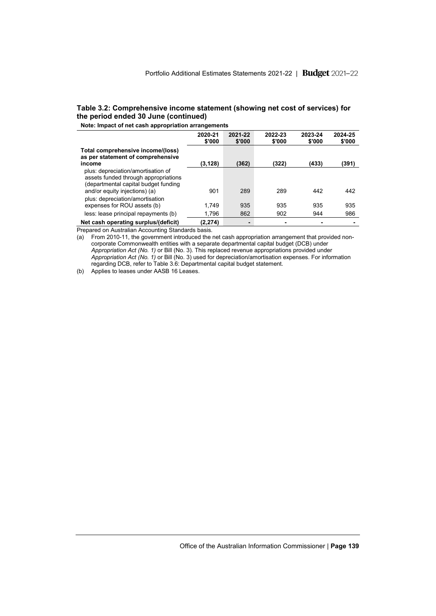#### **Table 3.2: Comprehensive income statement (showing net cost of services) for the period ended 30 June (continued)**

**Note: Impact of net cash appropriation arrangements**

|                                                                                                                                                     | ັ                 |                   |                   |                   |                   |
|-----------------------------------------------------------------------------------------------------------------------------------------------------|-------------------|-------------------|-------------------|-------------------|-------------------|
|                                                                                                                                                     | 2020-21<br>\$'000 | 2021-22<br>\$'000 | 2022-23<br>\$'000 | 2023-24<br>\$'000 | 2024-25<br>\$'000 |
| Total comprehensive income/(loss)<br>as per statement of comprehensive<br>income                                                                    | (3,128)           | (362)             | (322)             | (433)             | (391)             |
| plus: depreciation/amortisation of<br>assets funded through appropriations<br>(departmental capital budget funding<br>and/or equity injections) (a) | 901               | 289               | 289               | 442               | 442               |
| plus: depreciation/amortisation<br>expenses for ROU assets (b)                                                                                      | 1.749             | 935               | 935               | 935               | 935               |
| less: lease principal repayments (b)                                                                                                                | 1.796             | 862               | 902               | 944               | 986               |
| Net cash operating surplus/(deficit)                                                                                                                | (2, 274)          |                   |                   |                   |                   |

Prepared on Australian Accounting Standards basis.

(a) From 2010-11, the government introduced the net cash appropriation arrangement that provided noncorporate Commonwealth entities with a separate departmental capital budget (DCB) under *Appropriation Act (No. 1)* or Bill (No. 3). This replaced revenue appropriations provided under *Appropriation Act (No. 1)* or Bill (No. 3) used for depreciation/amortisation expenses. For information regarding DCB, refer to Table 3.6: Departmental capital budget statement.

(b) Applies to leases under AASB 16 Leases.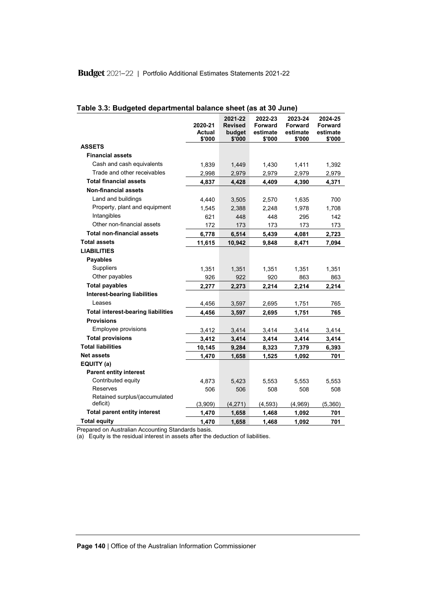|                                           | 2020-21<br>Actual<br>\$'000 | 2021-22<br><b>Revised</b><br>budget<br>\$'000 | 2022-23<br>Forward<br>estimate<br>\$'000 | 2023-24<br><b>Forward</b><br>estimate<br>\$'000 | 2024-25<br><b>Forward</b><br>estimate<br>\$'000 |
|-------------------------------------------|-----------------------------|-----------------------------------------------|------------------------------------------|-------------------------------------------------|-------------------------------------------------|
| <b>ASSETS</b>                             |                             |                                               |                                          |                                                 |                                                 |
| <b>Financial assets</b>                   |                             |                                               |                                          |                                                 |                                                 |
| Cash and cash equivalents                 | 1,839                       | 1,449                                         | 1,430                                    | 1,411                                           | 1,392                                           |
| Trade and other receivables               | 2,998                       | 2,979                                         | 2,979                                    | 2,979                                           | 2,979                                           |
| <b>Total financial assets</b>             | 4,837                       | 4,428                                         | 4,409                                    | 4,390                                           | 4,371                                           |
| <b>Non-financial assets</b>               |                             |                                               |                                          |                                                 |                                                 |
| Land and buildings                        | 4,440                       | 3,505                                         | 2,570                                    | 1,635                                           | 700                                             |
| Property, plant and equipment             | 1,545                       | 2,388                                         | 2,248                                    | 1,978                                           | 1,708                                           |
| Intangibles                               | 621                         | 448                                           | 448                                      | 295                                             | 142                                             |
| Other non-financial assets                | 172                         | 173                                           | 173                                      | 173                                             | 173                                             |
| <b>Total non-financial assets</b>         | 6,778                       | 6,514                                         | 5,439                                    | 4,081                                           | 2,723                                           |
| <b>Total assets</b>                       | 11,615                      | 10,942                                        | 9,848                                    | 8,471                                           | 7,094                                           |
| <b>LIABILITIES</b>                        |                             |                                               |                                          |                                                 |                                                 |
| <b>Payables</b>                           |                             |                                               |                                          |                                                 |                                                 |
| <b>Suppliers</b>                          | 1,351                       | 1,351                                         | 1,351                                    | 1,351                                           | 1,351                                           |
| Other payables                            | 926                         | 922                                           | 920                                      | 863                                             | 863                                             |
| <b>Total payables</b>                     | 2,277                       | 2,273                                         | 2,214                                    | 2,214                                           | 2,214                                           |
| <b>Interest-bearing liabilities</b>       |                             |                                               |                                          |                                                 |                                                 |
| Leases                                    | 4,456                       | 3,597                                         | 2,695                                    | 1,751                                           | 765                                             |
| <b>Total interest-bearing liabilities</b> | 4,456                       | 3,597                                         | 2,695                                    | 1,751                                           | 765                                             |
| <b>Provisions</b>                         |                             |                                               |                                          |                                                 |                                                 |
| Employee provisions                       | 3,412                       | 3,414                                         | 3,414                                    | 3,414                                           | 3,414                                           |
| <b>Total provisions</b>                   | 3,412                       | 3,414                                         | 3,414                                    | 3,414                                           | 3,414                                           |
| <b>Total liabilities</b>                  | 10,145                      | 9,284                                         | 8,323                                    | 7,379                                           | 6,393                                           |
| <b>Net assets</b>                         | 1,470                       | 1,658                                         | 1,525                                    | 1,092                                           | 701                                             |
| EQUITY (a)                                |                             |                                               |                                          |                                                 |                                                 |
| <b>Parent entity interest</b>             |                             |                                               |                                          |                                                 |                                                 |
| Contributed equity                        | 4,873                       | 5.423                                         | 5,553                                    | 5,553                                           | 5.553                                           |
| Reserves                                  | 506                         | 506                                           | 508                                      | 508                                             | 508                                             |
| Retained surplus/(accumulated<br>deficit) | (3,909)                     | (4,271)                                       | (4, 593)                                 | (4,969)                                         | (5,360)                                         |
| <b>Total parent entity interest</b>       | 1,470                       | 1,658                                         | 1,468                                    | 1,092                                           | 701                                             |
| <b>Total equity</b>                       | 1,470                       | 1,658                                         | 1,468                                    | 1,092                                           | 701                                             |

|  | Table 3.3: Budgeted departmental balance sheet (as at 30 June) |  |
|--|----------------------------------------------------------------|--|
|--|----------------------------------------------------------------|--|

Prepared on Australian Accounting Standards basis.

(a) Equity is the residual interest in assets after the deduction of liabilities.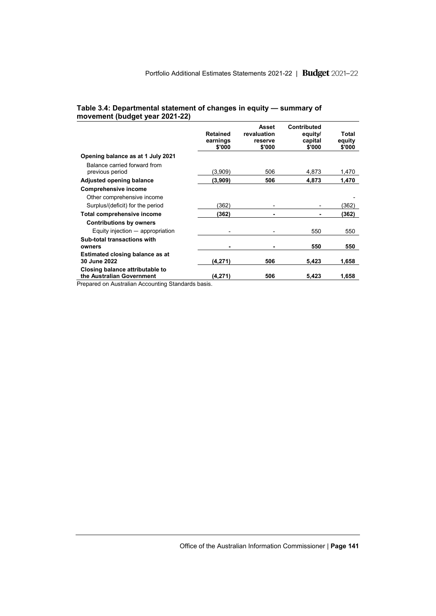#### **Table 3.4: Departmental statement of changes in equity — summary of movement (budget year 2021-22)**

|                                                              | <b>Retained</b><br>earnings<br>\$'000 | Asset<br>revaluation<br>reserve<br>\$'000 | <b>Contributed</b><br>equity/<br>capital<br>\$'000 | Total<br>equity<br>\$'000 |
|--------------------------------------------------------------|---------------------------------------|-------------------------------------------|----------------------------------------------------|---------------------------|
| Opening balance as at 1 July 2021                            |                                       |                                           |                                                    |                           |
| Balance carried forward from<br>previous period              | (3,909)                               | 506                                       | 4,873                                              | 1,470                     |
| <b>Adjusted opening balance</b>                              | (3,909)                               | 506                                       | 4,873                                              | 1,470                     |
| <b>Comprehensive income</b>                                  |                                       |                                           |                                                    |                           |
| Other comprehensive income                                   |                                       |                                           |                                                    |                           |
| Surplus/(deficit) for the period                             | (362)                                 |                                           |                                                    | (362)                     |
| Total comprehensive income                                   | (362)                                 |                                           |                                                    | (362)                     |
| <b>Contributions by owners</b>                               |                                       |                                           |                                                    |                           |
| Equity injection $-$ appropriation                           |                                       |                                           | 550                                                | 550                       |
| Sub-total transactions with<br>owners                        |                                       |                                           | 550                                                | 550                       |
| Estimated closing balance as at<br>30 June 2022              | (4,271)                               | 506                                       | 5,423                                              | 1,658                     |
| Closing balance attributable to<br>the Australian Government | (4,271)                               | 506                                       | 5,423                                              | 1,658                     |

Prepared on Australian Accounting Standards basis.

Office of the Australian Information Commissioner | **Page 141**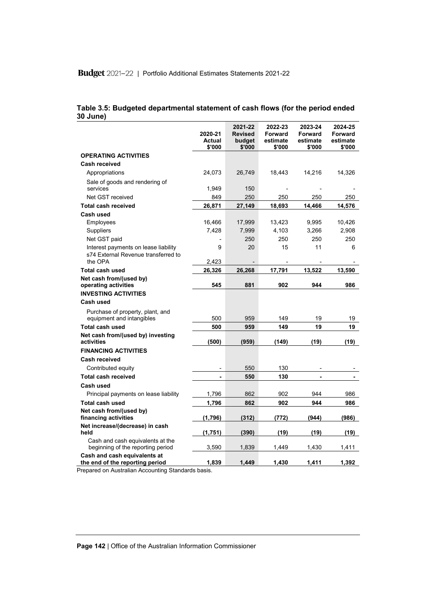| Table 3.5: Budgeted departmental statement of cash flows (for the period ended |  |  |  |
|--------------------------------------------------------------------------------|--|--|--|
| 30 June)                                                                       |  |  |  |

|                                                                                                                                                                      | 2020-21<br>Actual<br>\$'000 | 2021-22<br><b>Revised</b><br>budget<br>\$'000 | 2022-23<br>Forward<br>estimate<br>\$'000 | 2023-24<br>Forward<br>estimate<br>\$'000 | 2024-25<br>Forward<br>estimate<br>\$'000 |
|----------------------------------------------------------------------------------------------------------------------------------------------------------------------|-----------------------------|-----------------------------------------------|------------------------------------------|------------------------------------------|------------------------------------------|
| <b>OPERATING ACTIVITIES</b>                                                                                                                                          |                             |                                               |                                          |                                          |                                          |
| Cash received                                                                                                                                                        |                             |                                               |                                          |                                          |                                          |
| Appropriations                                                                                                                                                       | 24,073                      | 26,749                                        | 18,443                                   | 14,216                                   | 14,326                                   |
| Sale of goods and rendering of                                                                                                                                       |                             |                                               |                                          |                                          |                                          |
| services                                                                                                                                                             | 1,949                       | 150                                           |                                          |                                          |                                          |
| Net GST received                                                                                                                                                     | 849                         | 250                                           | 250                                      | 250                                      | 250                                      |
| <b>Total cash received</b>                                                                                                                                           | 26,871                      | 27,149                                        | 18,693                                   | 14,466                                   | 14,576                                   |
| Cash used                                                                                                                                                            |                             |                                               |                                          |                                          |                                          |
| Employees                                                                                                                                                            | 16,466                      | 17,999                                        | 13,423                                   | 9,995                                    | 10,426                                   |
| Suppliers                                                                                                                                                            | 7,428                       | 7,999                                         | 4,103                                    | 3,266                                    | 2,908                                    |
| Net GST paid                                                                                                                                                         |                             | 250                                           | 250                                      | 250                                      | 250                                      |
| Interest payments on lease liability                                                                                                                                 | 9                           | 20                                            | 15                                       | 11                                       | 6                                        |
| s74 External Revenue transferred to<br>the OPA                                                                                                                       | 2,423                       |                                               |                                          |                                          |                                          |
| <b>Total cash used</b>                                                                                                                                               | 26,326                      | 26,268                                        | 17,791                                   | 13,522                                   | 13,590                                   |
| Net cash from/(used by)                                                                                                                                              |                             |                                               |                                          |                                          |                                          |
| operating activities                                                                                                                                                 | 545                         | 881                                           | 902                                      | 944                                      | 986                                      |
| <b>INVESTING ACTIVITIES</b>                                                                                                                                          |                             |                                               |                                          |                                          |                                          |
| Cash used                                                                                                                                                            |                             |                                               |                                          |                                          |                                          |
| Purchase of property, plant, and                                                                                                                                     |                             |                                               |                                          |                                          |                                          |
| equipment and intangibles                                                                                                                                            | 500                         | 959                                           | 149                                      | 19                                       | 19                                       |
| <b>Total cash used</b>                                                                                                                                               | 500                         | 959                                           | 149                                      | 19                                       | 19                                       |
| Net cash from/(used by) investing<br>activities                                                                                                                      | (500)                       | (959)                                         | (149)                                    | (19)                                     | (19)                                     |
| <b>FINANCING ACTIVITIES</b>                                                                                                                                          |                             |                                               |                                          |                                          |                                          |
| <b>Cash received</b>                                                                                                                                                 |                             |                                               |                                          |                                          |                                          |
| Contributed equity                                                                                                                                                   |                             | 550                                           | 130                                      |                                          |                                          |
| <b>Total cash received</b>                                                                                                                                           |                             | 550                                           | 130                                      |                                          |                                          |
| Cash used                                                                                                                                                            |                             |                                               |                                          |                                          |                                          |
| Principal payments on lease liability                                                                                                                                | 1,796                       | 862                                           | 902                                      | 944                                      | 986                                      |
| <b>Total cash used</b>                                                                                                                                               | 1,796                       | 862                                           | 902                                      | 944                                      | 986                                      |
| Net cash from/(used by)<br>financing activities                                                                                                                      | (1,796)                     | (312)                                         | (772)                                    | (944)                                    | (986)                                    |
| Net increase/(decrease) in cash<br>held                                                                                                                              | (1,751)                     | (390)                                         | (19)                                     | (19)                                     | (19)                                     |
| Cash and cash equivalents at the<br>beginning of the reporting period                                                                                                | 3.590                       | 1,839                                         | 1,449                                    | 1,430                                    | 1,411                                    |
| Cash and cash equivalents at<br>the end of the reporting period<br>$\mathbf{A}$ and $\mathbf{A}$ are $\mathbf{A}$ and $\mathbf{B}$ and $\mathbf{A}$ are $\mathbf{A}$ | 1,839                       | 1,449                                         | 1,430                                    | 1,411                                    | 1,392                                    |

Prepared on Australian Accounting Standards basis.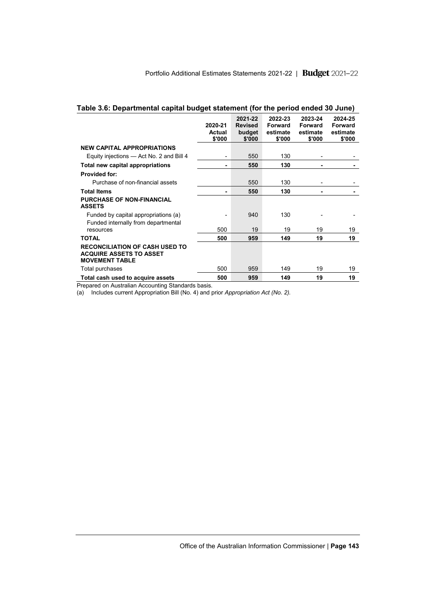|                                                                                                  | 2020-21<br>Actual<br>\$'000 | 2021-22<br><b>Revised</b><br>budget<br>\$'000 | 2022-23<br>Forward<br>estimate<br>\$'000 | 2023-24<br>Forward<br>estimate<br>\$'000 | 2024-25<br>Forward<br>estimate<br>\$'000 |
|--------------------------------------------------------------------------------------------------|-----------------------------|-----------------------------------------------|------------------------------------------|------------------------------------------|------------------------------------------|
| <b>NEW CAPITAL APPROPRIATIONS</b>                                                                |                             |                                               |                                          |                                          |                                          |
| Equity injections - Act No. 2 and Bill 4                                                         | -                           | 550                                           | 130                                      | -                                        |                                          |
| Total new capital appropriations                                                                 | ۰                           | 550                                           | 130                                      | ۰                                        |                                          |
| <b>Provided for:</b>                                                                             |                             |                                               |                                          |                                          |                                          |
| Purchase of non-financial assets                                                                 |                             | 550                                           | 130                                      |                                          |                                          |
| <b>Total Items</b>                                                                               |                             | 550                                           | 130                                      |                                          |                                          |
| <b>PURCHASE OF NON-FINANCIAL</b><br><b>ASSETS</b>                                                |                             |                                               |                                          |                                          |                                          |
| Funded by capital appropriations (a)<br>Funded internally from departmental                      |                             | 940                                           | 130                                      |                                          |                                          |
| resources                                                                                        | 500                         | 19                                            | 19                                       | 19                                       | 19                                       |
| <b>TOTAL</b>                                                                                     | 500                         | 959                                           | 149                                      | 19                                       | 19                                       |
| <b>RECONCILIATION OF CASH USED TO</b><br><b>ACQUIRE ASSETS TO ASSET</b><br><b>MOVEMENT TABLE</b> |                             |                                               |                                          |                                          |                                          |
| Total purchases                                                                                  | 500                         | 959                                           | 149                                      | 19                                       | 19                                       |
| Total cash used to acquire assets                                                                | 500                         | 959                                           | 149                                      | 19                                       | 19                                       |

## **Table 3.6: Departmental capital budget statement (for the period ended 30 June)**

Prepared on Australian Accounting Standards basis.

(a) Includes current Appropriation Bill (No. 4) and prior *Appropriation Act (No. 2).*